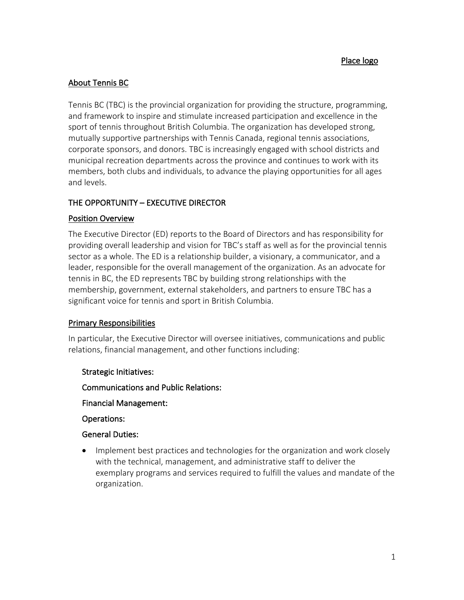## About Tennis BC

Tennis BC (TBC) is the provincial organization for providing the structure, programming, and framework to inspire and stimulate increased participation and excellence in the sport of tennis throughout British Columbia. The organization has developed strong, mutually supportive partnerships with Tennis Canada, regional tennis associations, corporate sponsors, and donors. TBC is increasingly engaged with school districts and municipal recreation departments across the province and continues to work with its members, both clubs and individuals, to advance the playing opportunities for all ages and levels.

# THE OPPORTUNITY – EXECUTIVE DIRECTOR

## Position Overview

The Executive Director (ED) reports to the Board of Directors and has responsibility for providing overall leadership and vision for TBC's staff as well as for the provincial tennis sector as a whole. The ED is a relationship builder, a visionary, a communicator, and a leader, responsible for the overall management of the organization. As an advocate for tennis in BC, the ED represents TBC by building strong relationships with the membership, government, external stakeholders, and partners to ensure TBC has a significant voice for tennis and sport in British Columbia.

## Primary Responsibilities

In particular, the Executive Director will oversee initiatives, communications and public relations, financial management, and other functions including:

## Strategic Initiatives:

Communications and Public Relations:

Financial Management:

Operations:

## General Duties:

• Implement best practices and technologies for the organization and work closely with the technical, management, and administrative staff to deliver the exemplary programs and services required to fulfill the values and mandate of the organization.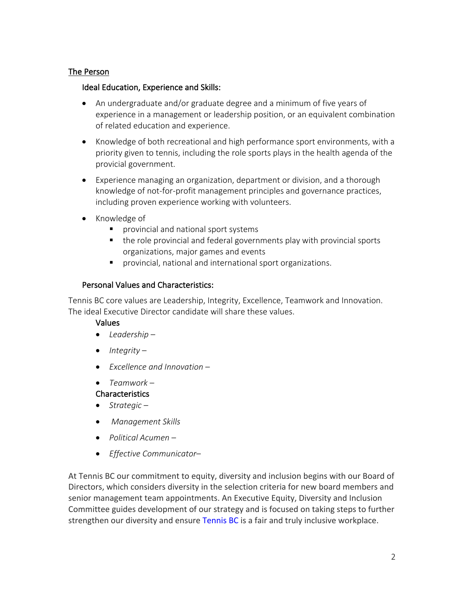## The Person

### Ideal Education, Experience and Skills:

- An undergraduate and/or graduate degree and a minimum of five years of experience in a management or leadership position, or an equivalent combination of related education and experience.
- Knowledge of both recreational and high performance sport environments, with a priority given to tennis, including the role sports plays in the health agenda of the provicial government.
- Experience managing an organization, department or division, and a thorough knowledge of not-for-profit management principles and governance practices, including proven experience working with volunteers.
- Knowledge of
	- provincial and national sport systems
	- the role provincial and federal governments play with provincial sports organizations, major games and events
	- provincial, national and international sport organizations.

## Personal Values and Characteristics:

Tennis BC core values are Leadership, Integrity, Excellence, Teamwork and Innovation. The ideal Executive Director candidate will share these values.

## Values

- *Leadership –*
- *Integrity* –
- *Excellence and Innovation* –
- *Teamwork* –

## Characteristics

- *Strategic* –
- *Management Skills*
- *Political Acumen* –
- *Effective Communicator*–

At Tennis BC our commitment to equity, diversity and inclusion begins with our Board of Directors, which considers diversity in the selection criteria for new board members and senior management team appointments. An Executive Equity, Diversity and Inclusion Committee guides development of our strategy and is focused on taking steps to further strengthen our diversity and ensure Tennis BC is a fair and truly inclusive workplace.